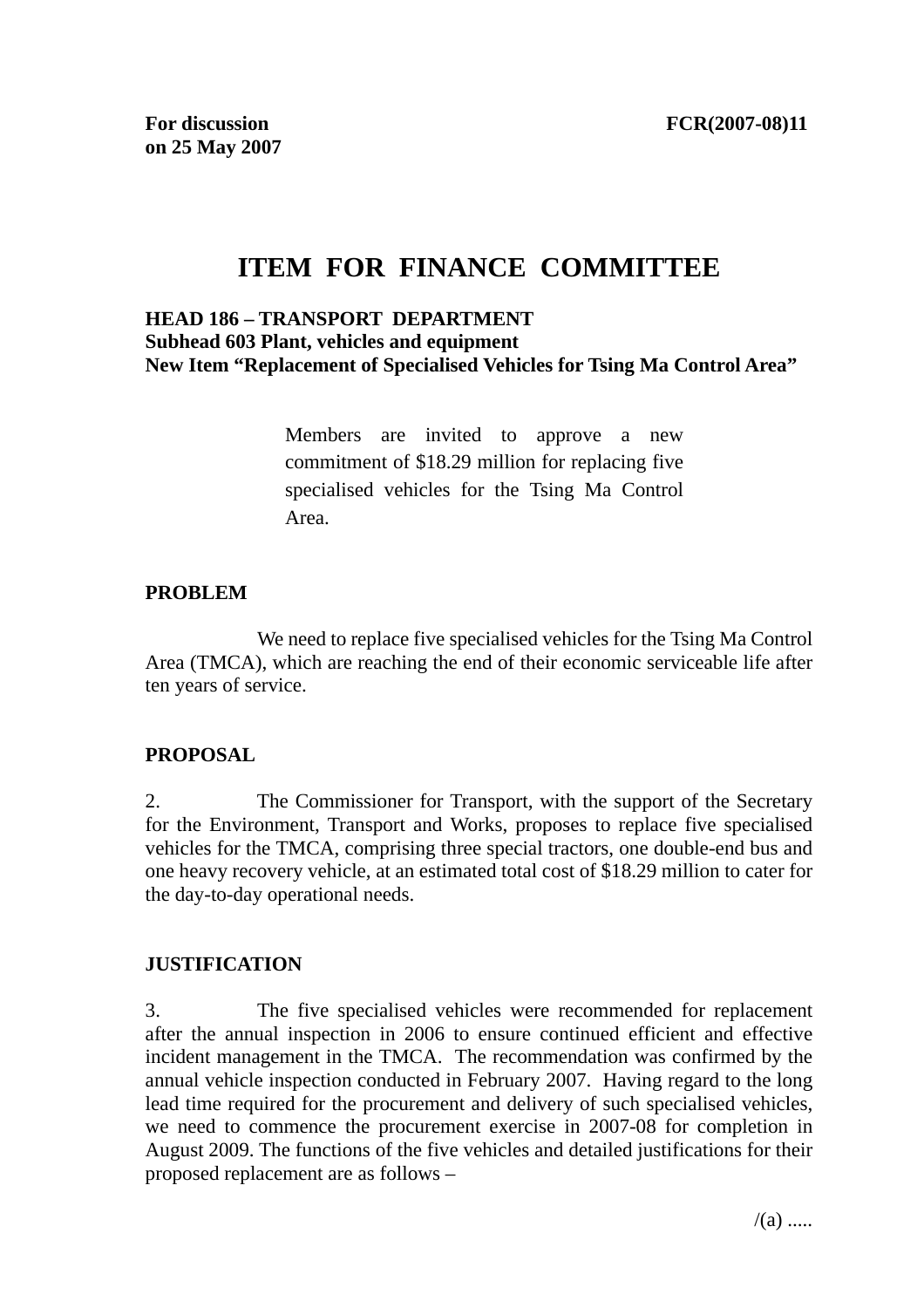# **ITEM FOR FINANCE COMMITTEE**

#### **HEAD 186 – TRANSPORT DEPARTMENT Subhead 603 Plant, vehicles and equipment New Item "Replacement of Specialised Vehicles for Tsing Ma Control Area"**

Members are invited to approve a new commitment of \$18.29 million for replacing five specialised vehicles for the Tsing Ma Control Area.

#### **PROBLEM**

 We need to replace five specialised vehicles for the Tsing Ma Control Area (TMCA), which are reaching the end of their economic serviceable life after ten years of service.

### **PROPOSAL**

2. The Commissioner for Transport, with the support of the Secretary for the Environment, Transport and Works, proposes to replace five specialised vehicles for the TMCA, comprising three special tractors, one double-end bus and one heavy recovery vehicle, at an estimated total cost of \$18.29 million to cater for the day-to-day operational needs.

### **JUSTIFICATION**

3. The five specialised vehicles were recommended for replacement after the annual inspection in 2006 to ensure continued efficient and effective incident management in the TMCA. The recommendation was confirmed by the annual vehicle inspection conducted in February 2007. Having regard to the long lead time required for the procurement and delivery of such specialised vehicles, we need to commence the procurement exercise in 2007-08 for completion in August 2009. The functions of the five vehicles and detailed justifications for their proposed replacement are as follows –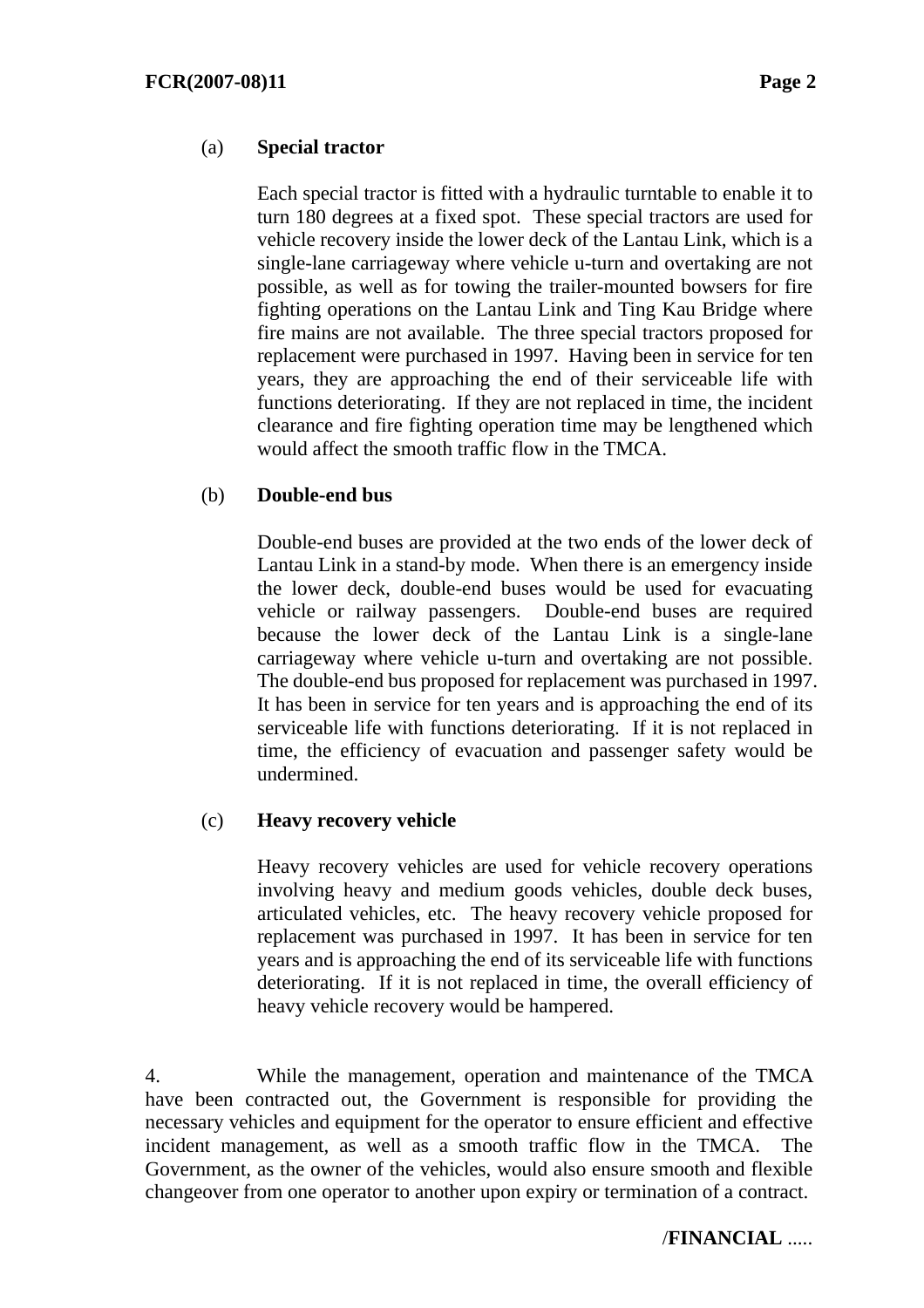### (a) **Special tractor**

 Each special tractor is fitted with a hydraulic turntable to enable it to turn 180 degrees at a fixed spot. These special tractors are used for vehicle recovery inside the lower deck of the Lantau Link, which is a single-lane carriageway where vehicle u-turn and overtaking are not possible, as well as for towing the trailer-mounted bowsers for fire fighting operations on the Lantau Link and Ting Kau Bridge where fire mains are not available. The three special tractors proposed for replacement were purchased in 1997. Having been in service for ten years, they are approaching the end of their serviceable life with functions deteriorating. If they are not replaced in time, the incident clearance and fire fighting operation time may be lengthened which would affect the smooth traffic flow in the TMCA.

### (b) **Double-end bus**

 Double-end buses are provided at the two ends of the lower deck of Lantau Link in a stand-by mode. When there is an emergency inside the lower deck, double-end buses would be used for evacuating vehicle or railway passengers. Double-end buses are required because the lower deck of the Lantau Link is a single-lane carriageway where vehicle u-turn and overtaking are not possible. The double-end bus proposed for replacement was purchased in 1997. It has been in service for ten years and is approaching the end of its serviceable life with functions deteriorating. If it is not replaced in time, the efficiency of evacuation and passenger safety would be undermined.

### (c) **Heavy recovery vehicle**

 Heavy recovery vehicles are used for vehicle recovery operations involving heavy and medium goods vehicles, double deck buses, articulated vehicles, etc. The heavy recovery vehicle proposed for replacement was purchased in 1997. It has been in service for ten years and is approaching the end of its serviceable life with functions deteriorating. If it is not replaced in time, the overall efficiency of heavy vehicle recovery would be hampered.

4. While the management, operation and maintenance of the TMCA have been contracted out, the Government is responsible for providing the necessary vehicles and equipment for the operator to ensure efficient and effective incident management, as well as a smooth traffic flow in the TMCA. The Government, as the owner of the vehicles, would also ensure smooth and flexible changeover from one operator to another upon expiry or termination of a contract.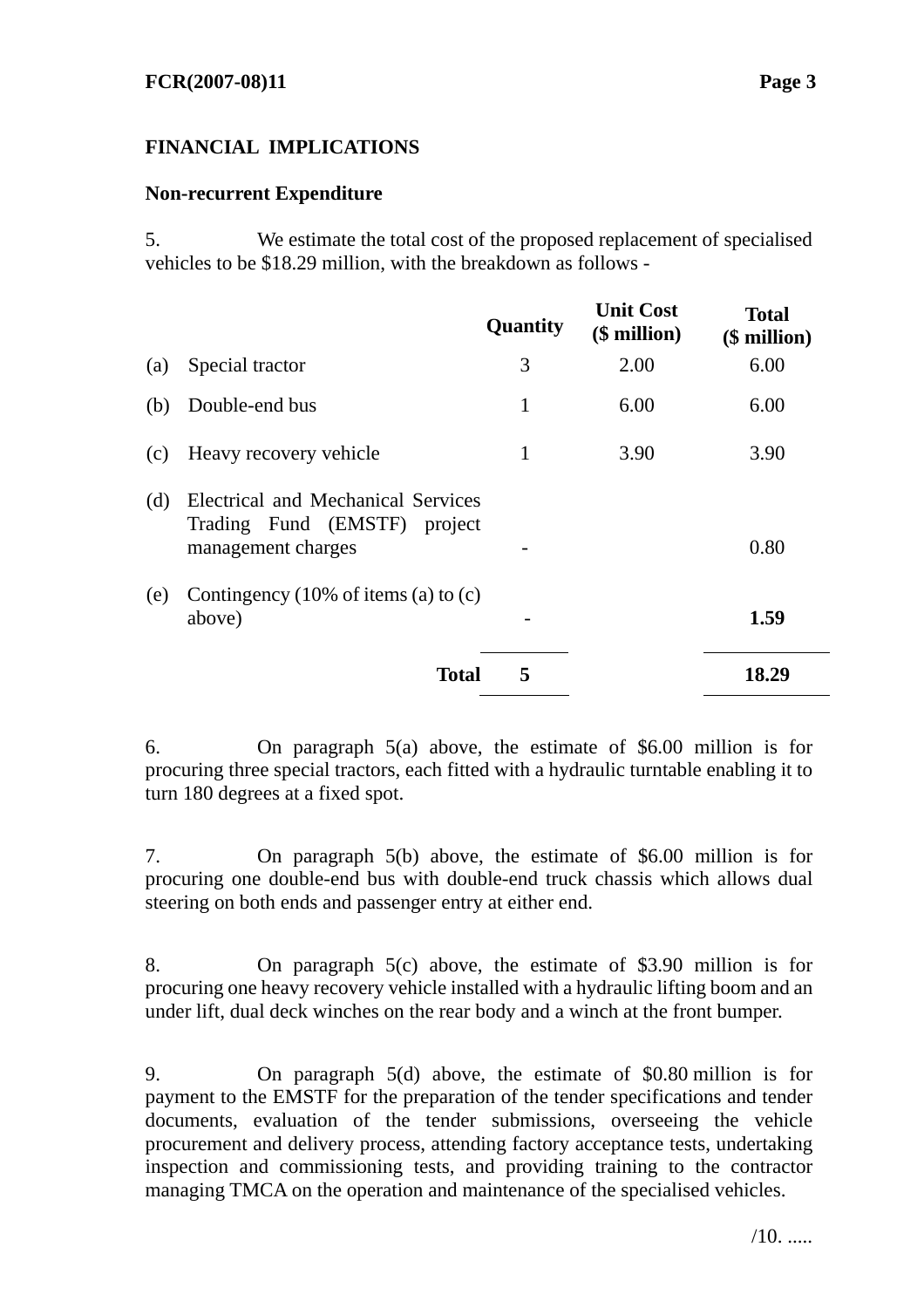### **FINANCIAL IMPLICATIONS**

### **Non-recurrent Expenditure**

5. We estimate the total cost of the proposed replacement of specialised vehicles to be \$18.29 million, with the breakdown as follows -

|     |                                                                                          | Quantity | <b>Unit Cost</b><br>(\$ million) | <b>Total</b><br>(\$ million) |
|-----|------------------------------------------------------------------------------------------|----------|----------------------------------|------------------------------|
| (a) | Special tractor                                                                          | 3        | 2.00                             | 6.00                         |
| (b) | Double-end bus                                                                           | 1        | 6.00                             | 6.00                         |
| (c) | Heavy recovery vehicle                                                                   | 1        | 3.90                             | 3.90                         |
| (d) | Electrical and Mechanical Services<br>Trading Fund (EMSTF) project<br>management charges |          |                                  | 0.80                         |
| (e) | Contingency $(10\% \text{ of items (a) to (c))})$<br>above)                              |          |                                  | 1.59                         |
|     | <b>Total</b>                                                                             | 5        |                                  | 18.29                        |

6. On paragraph 5(a) above, the estimate of \$6.00 million is for procuring three special tractors, each fitted with a hydraulic turntable enabling it to turn 180 degrees at a fixed spot.

7. On paragraph 5(b) above, the estimate of \$6.00 million is for procuring one double-end bus with double-end truck chassis which allows dual steering on both ends and passenger entry at either end.

8. On paragraph 5(c) above, the estimate of \$3.90 million is for procuring one heavy recovery vehicle installed with a hydraulic lifting boom and an under lift, dual deck winches on the rear body and a winch at the front bumper.

9. On paragraph 5(d) above, the estimate of \$0.80 million is for payment to the EMSTF for the preparation of the tender specifications and tender documents, evaluation of the tender submissions, overseeing the vehicle procurement and delivery process, attending factory acceptance tests, undertaking inspection and commissioning tests, and providing training to the contractor managing TMCA on the operation and maintenance of the specialised vehicles.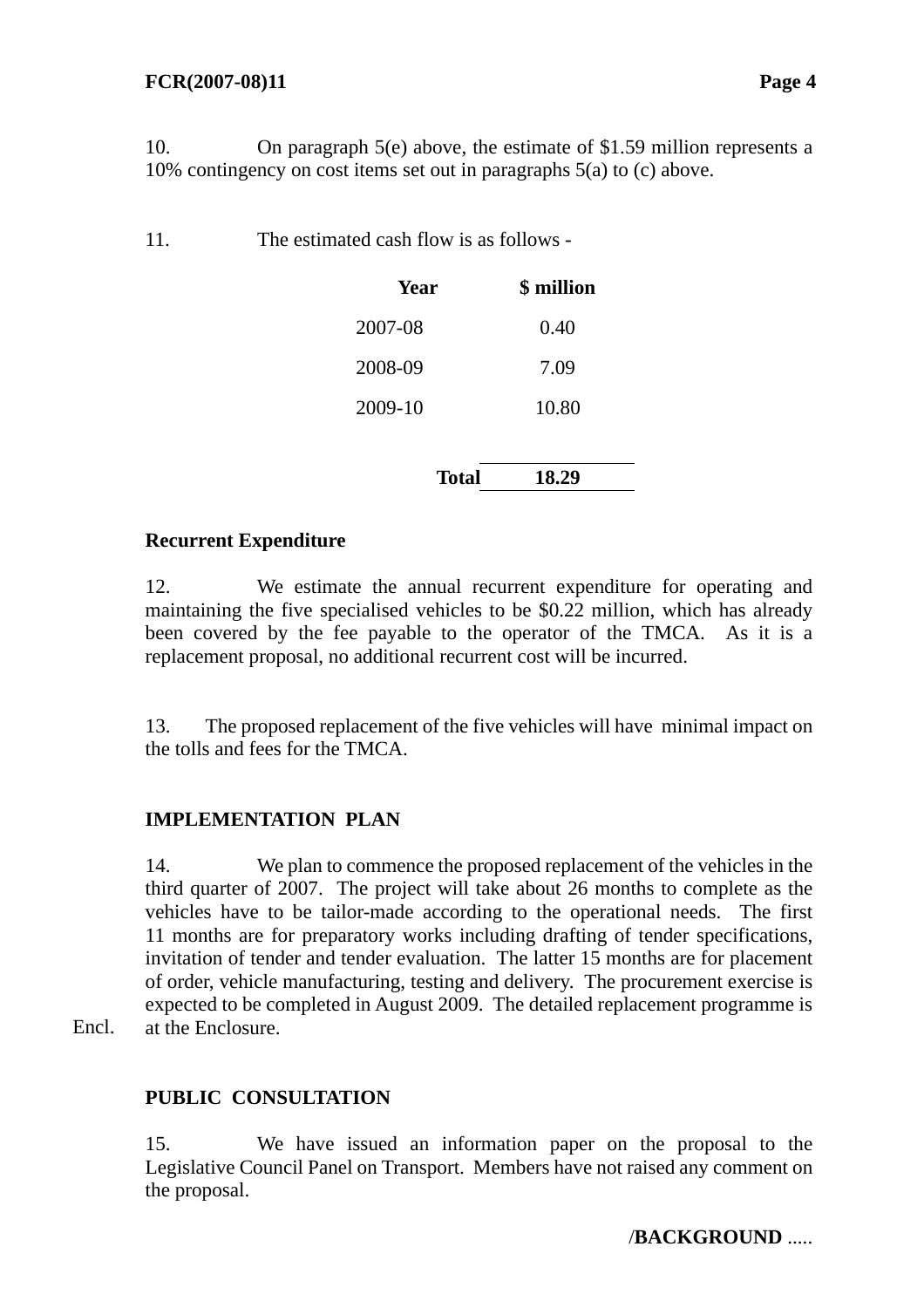10. On paragraph 5(e) above, the estimate of \$1.59 million represents a 10% contingency on cost items set out in paragraphs 5(a) to (c) above.

11. The estimated cash flow is as follows -

| Year    |       | <b>\$</b> million |
|---------|-------|-------------------|
| 2007-08 |       | 0.40              |
| 2008-09 |       | 7.09              |
| 2009-10 |       | 10.80             |
|         |       |                   |
|         | Total | 18.29             |

### **Recurrent Expenditure**

12. We estimate the annual recurrent expenditure for operating and maintaining the five specialised vehicles to be \$0.22 million, which has already been covered by the fee payable to the operator of the TMCA. As it is a replacement proposal, no additional recurrent cost will be incurred.

13. The proposed replacement of the five vehicles will have minimal impact on the tolls and fees for the TMCA.

### **IMPLEMENTATION PLAN**

14. We plan to commence the proposed replacement of the vehicles in the third quarter of 2007. The project will take about 26 months to complete as the vehicles have to be tailor-made according to the operational needs. The first 11 months are for preparatory works including drafting of tender specifications, invitation of tender and tender evaluation. The latter 15 months are for placement of order, vehicle manufacturing, testing and delivery. The procurement exercise is expected to be completed in August 2009. The detailed replacement programme is at the Enclosure.

Encl.

### **PUBLIC CONSULTATION**

15. We have issued an information paper on the proposal to the Legislative Council Panel on Transport. Members have not raised any comment on the proposal.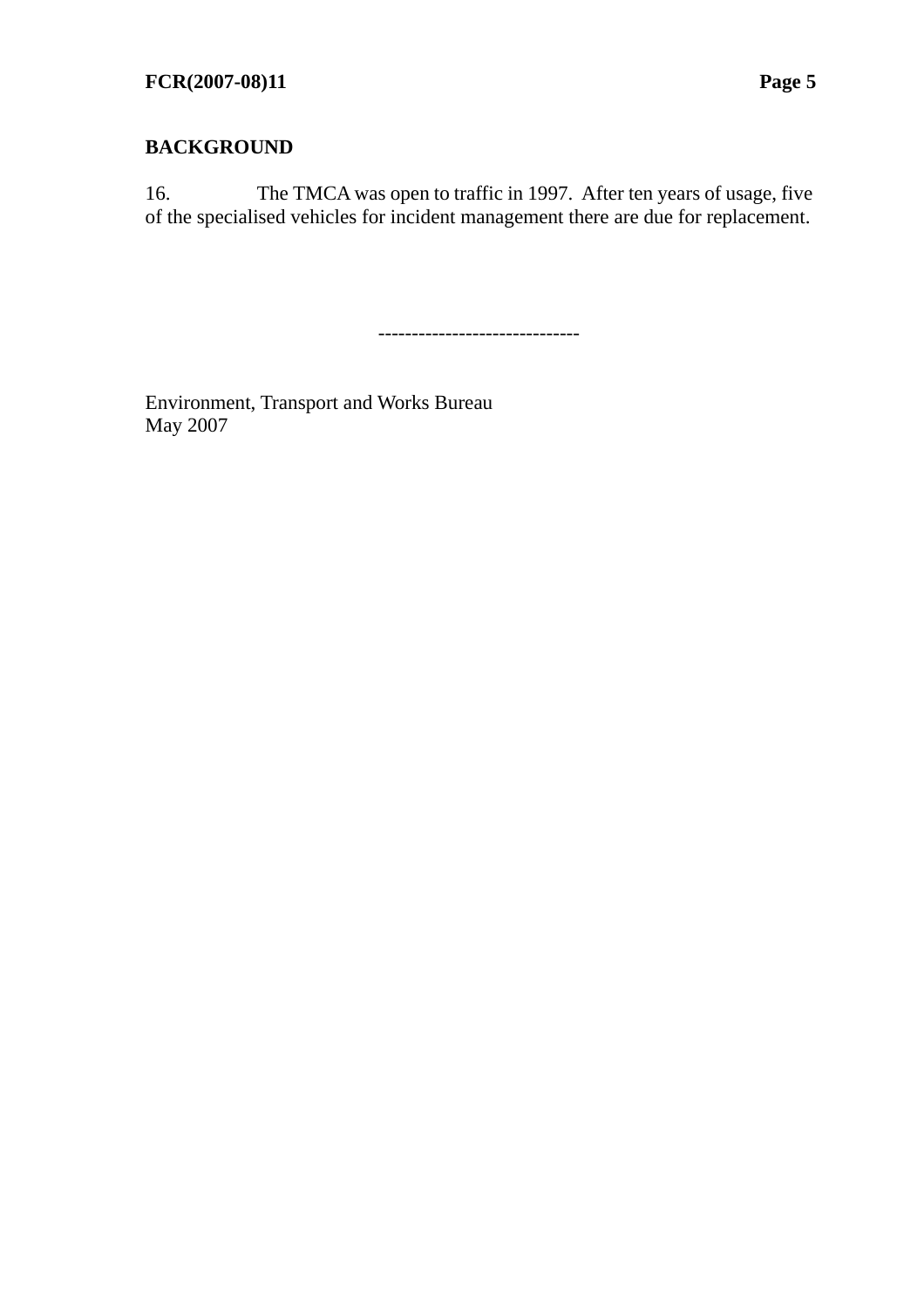16. The TMCA was open to traffic in 1997. After ten years of usage, five of the specialised vehicles for incident management there are due for replacement.

------------------------------

Environment, Transport and Works Bureau May 2007